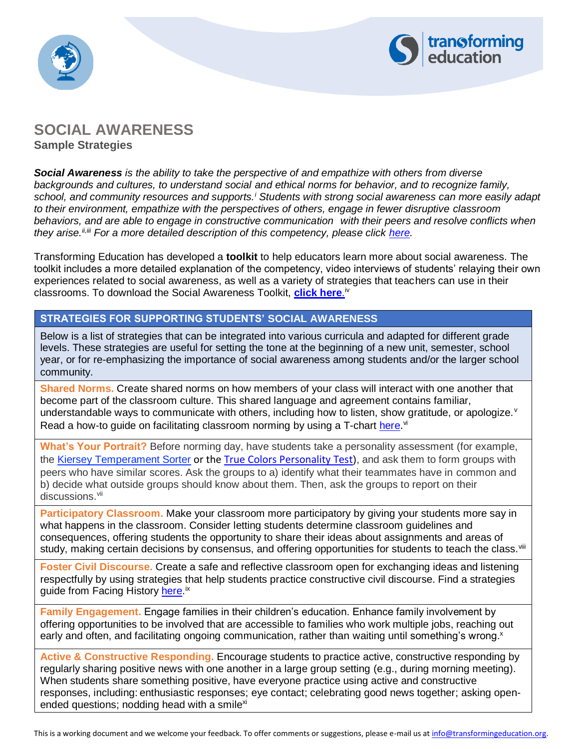



# **SOCIAL AWARENESS Sample Strategies**

*Social Awareness is the ability to take the perspective of and empathize with others from diverse backgrounds and cultures, to understand social and ethical norms for behavior, and to recognize family, school, and community resources and supports.<sup>i</sup> Students with strong social awareness can more easily adapt to their environment, empathize with the perspectives of others, engage in fewer disruptive classroom behaviors, and are able to engage in constructive communication with their peers and resolve conflicts when they arise.ii,iii For a more detailed description of this competency, please click [here.](https://www.transformingeducation.org/wp-content/uploads/2017/04/IntroductiontoSocialAwareness.pdf)*

Transforming Education has developed a **toolkit** to help educators learn more about social awareness. The toolkit includes a more detailed explanation of the competency, video interviews of students' relaying their own experiences related to social awareness, as well as a variety of strategies that teachers can use in their classrooms. To download the Social Awareness Toolkit, <mark>[click here](https://www.transformingeducation.org/social-awareness-toolkit/).</mark>™

### **STRATEGIES FOR SUPPORTING STUDENTS' SOCIAL AWARENESS**

Below is a list of strategies that can be integrated into various curricula and adapted for different grade levels. These strategies are useful for setting the tone at the beginning of a new unit, semester, school year, or for re-emphasizing the importance of social awareness among students and/or the larger school community.

**Shared Norms.** Create shared norms on how members of your class will interact with one another that become part of the classroom culture. This shared language and agreement contains familiar, understandable ways to communicate with others, including how to listen, show gratitude, or apologize. Y Read a how-to guide on facilitating classroom norming by using a T-chart [here](https://www.edutopia.org/blog/establishing-classroom-norms-todd-finley).<sup>vi</sup>

**What's Your Portrait?** Before norming day, have students take a personality assessment (for example, the [Kiersey Temperament Sorter](http://www.keirsey.com/sorter/register.aspx) or the [True Colors Personality Test](https://www.teacherspayteachers.com/Product/True-Colors-Personality-Test-freebie-1309341)), and ask them to form groups with peers who have similar scores. Ask the groups to a) identify what their teammates have in common and b) decide what outside groups should know about them. Then, ask the groups to report on their discussions.<sup>vii</sup>

**Participatory Classroom.** Make your classroom more participatory by giving your students more say in what happens in the classroom. Consider letting students determine classroom guidelines and consequences, offering students the opportunity to share their ideas about assignments and areas of study, making certain decisions by consensus, and offering opportunities for students to teach the class.<sup>viii</sup>

**Foster Civil Discourse.** Create a safe and reflective classroom open for exchanging ideas and listening respectfully by using strategies that help students practice constructive civil discourse. Find a strategies guide from Facing History [here.](https://www.facinghistory.org/books-borrowing/fostering-civil-discourse-guide-classroom-conversations?hsCtaTracking=a5535ba2-e13c-40ac-8c2d-cecc3f5ded74%7C61186066-61f8-458c-a603-efa22cd9e606)<sup>ix</sup>

**Family Engagement.** Engage families in their children's education. Enhance family involvement by offering opportunities to be involved that are accessible to families who work multiple jobs, reaching out early and often, and facilitating ongoing communication, rather than waiting until something's wrong.<sup>x</sup>

**Active & Constructive Responding.** Encourage students to practice active, constructive responding by regularly sharing positive news with one another in a large group setting (e.g., during morning meeting). When students share something positive, have everyone practice using active and constructive responses, including: enthusiastic responses; eye contact; celebrating good news together; asking openended questions; nodding head with a smile $x$ <sup>i</sup>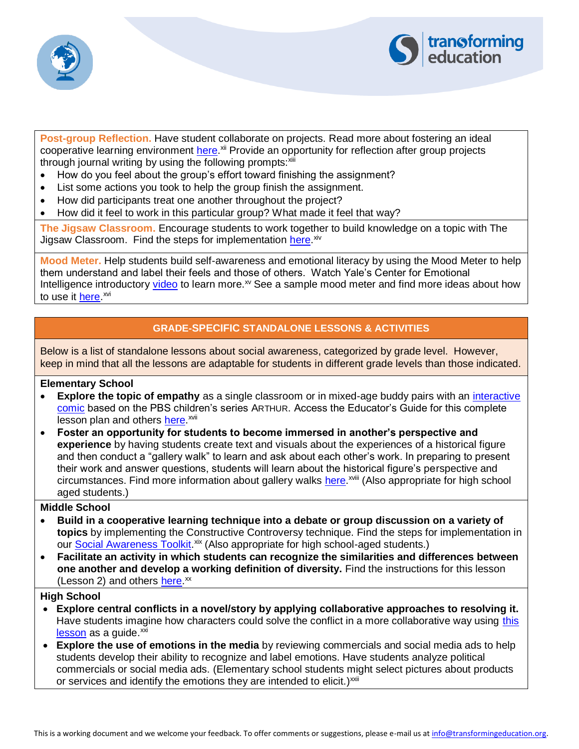



**Post-group Reflection.** Have student collaborate on projects. Read more about fostering an ideal cooperative learning environment [here.](https://www.edutopia.org/blog/8-pathways-strategies-foster-sociability-marilyn-price-mitchell)<sup>xii</sup> Provide an opportunity for reflection after group projects through journal writing by using the following prompts: xiii

- How do you feel about the group's effort toward finishing the assignment?
- List some actions you took to help the group finish the assignment.
- How did participants treat one another throughout the project?
- How did it feel to work in this particular group? What made it feel that way?

**The Jigsaw Classroom.** Encourage students to work together to build knowledge on a topic with The Jigsaw Classroom. Find the steps for implementation [here.](https://www.jigsaw.org/)<sup>xiv</sup>

**Mood Meter.** Help students build self-awareness and emotional literacy by using the Mood Meter to help them understand and label their feels and those of others. Watch Yale's Center for Emotional Intelligence introductory [video](https://vimeo.com/52622350) to learn more.<sup>xv</sup> See a sample mood meter and find more ideas about how to use it <u>here</u>.<sup>xvi</sup>

## **GRADE-SPECIFIC STANDALONE LESSONS & ACTIVITIES**

Below is a list of standalone lessons about social awareness, categorized by grade level. However, keep in mind that all the lessons are adaptable for students in different grade levels than those indicated.

#### **Elementary School**

- **Explore the topic of empathy** as a single classroom or in mixed-age buddy pairs with an [interactive](http://pbskids.org/arthur/games/comic_sofunny/index.html)  [comic](http://pbskids.org/arthur/games/comic_sofunny/index.html) based on the PBS children's series ARTHUR. Access the Educator's Guide for this complete lesson plan and others [here.](https://www.pbslearningmedia.org/resource/aim17-sel-educatorsguide/arthur-educators-guide-the-aim-buddy-project-an-arthur-social-and-emotional-curriculum/?#.Wn0vHpM-eF0)<sup>xvii</sup>
- **Foster an opportunity for students to become immersed in another's perspective and experience** by having students create text and visuals about the experiences of a historical figure and then conduct a "gallery walk" to learn and ask about each other's work. In preparing to present their work and answer questions, students will learn about the historical figure's perspective and circumstances. Find more information about gallery walks [here.](https://www.facinghistory.org/resource-library/teaching-strategies/gallery-walk)<sup>xviii</sup> (Also appropriate for high school aged students.)

#### **Middle School**

- **Build in a cooperative learning technique into a debate or group discussion on a variety of topics** by implementing the Constructive Controversy technique. Find the steps for implementation in our [Social Awareness Toolkit.](https://www.transformingeducation.org/social-awareness-toolkit/)<sup>xix</sup> (Also appropriate for high school-aged students.)
- **Facilitate an activity in which students can recognize the similarities and differences between one another and develop a working definition of diversity.** Find the instructions for this lesson (Lesson 2) and others [here.](http://www.partnersagainsthate.org/educators/middle_school_lesson_plans.pdf)<sup>xx</sup>

#### **High School**

- **Explore central conflicts in a novel/story by applying collaborative approaches to resolving it.** Have students imagine how characters could solve the conflict in a more collaborative way using [this](http://www.massgeneral.org/psychiatry/assets/pdfs/school-psych/student-activity-4a-conflict-resolution.pdf)   $lesson$  as a guide. $<sup>xxi</sup>$ </sup>
- **Explore the use of emotions in the media** by reviewing commercials and social media ads to help students develop their ability to recognize and label emotions. Have students analyze political commercials or social media ads. (Elementary school students might select pictures about products or services and identify the emotions they are intended to elicit.) $x$